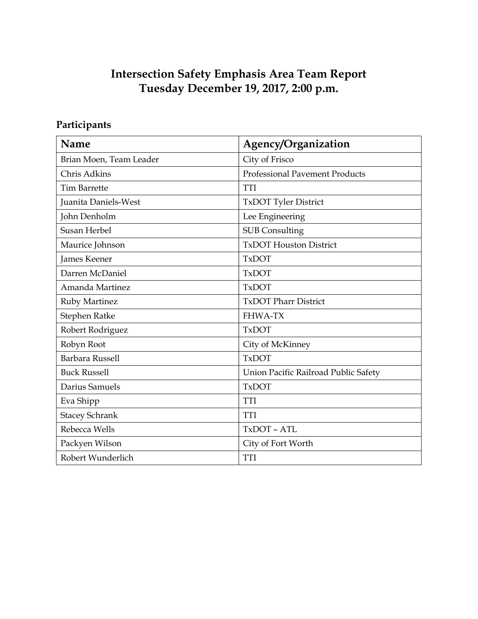# Intersection Safety Emphasis Area Team Report Tuesday December 19, 2017, 2:00 p.m.

# Participants

| Name                    | Agency/Organization                  |
|-------------------------|--------------------------------------|
| Brian Moen, Team Leader | City of Frisco                       |
| Chris Adkins            | Professional Pavement Products       |
| <b>Tim Barrette</b>     | <b>TTI</b>                           |
| Juanita Daniels-West    | TxDOT Tyler District                 |
| John Denholm            | Lee Engineering                      |
| Susan Herbel            | <b>SUB Consulting</b>                |
| Maurice Johnson         | <b>TxDOT Houston District</b>        |
| James Keener            | <b>TxDOT</b>                         |
| Darren McDaniel         | <b>TxDOT</b>                         |
| Amanda Martinez         | <b>TxDOT</b>                         |
| <b>Ruby Martinez</b>    | <b>TxDOT Pharr District</b>          |
| Stephen Ratke           | <b>FHWA-TX</b>                       |
| Robert Rodriguez        | <b>TxDOT</b>                         |
| Robyn Root              | City of McKinney                     |
| Barbara Russell         | <b>TxDOT</b>                         |
| <b>Buck Russell</b>     | Union Pacific Railroad Public Safety |
| Darius Samuels          | <b>TxDOT</b>                         |
| Eva Shipp               | <b>TTI</b>                           |
| <b>Stacey Schrank</b>   | <b>TTI</b>                           |
| Rebecca Wells           | TxDOT - ATL                          |
| Packyen Wilson          | City of Fort Worth                   |
| Robert Wunderlich       | <b>TTI</b>                           |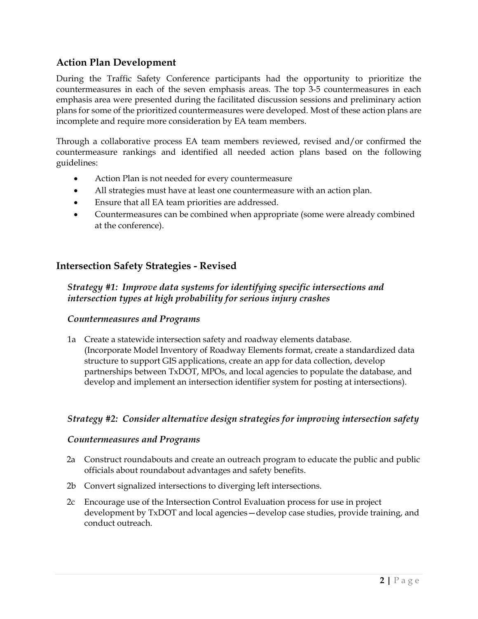# Action Plan Development

During the Traffic Safety Conference participants had the opportunity to prioritize the countermeasures in each of the seven emphasis areas. The top 3-5 countermeasures in each emphasis area were presented during the facilitated discussion sessions and preliminary action plans for some of the prioritized countermeasures were developed. Most of these action plans are incomplete and require more consideration by EA team members.

Through a collaborative process EA team members reviewed, revised and/or confirmed the countermeasure rankings and identified all needed action plans based on the following guidelines:

- Action Plan is not needed for every countermeasure
- All strategies must have at least one countermeasure with an action plan.
- Ensure that all EA team priorities are addressed.
- Countermeasures can be combined when appropriate (some were already combined at the conference).

# Intersection Safety Strategies - Revised

### Strategy #1: Improve data systems for identifying specific intersections and intersection types at high probability for serious injury crashes

#### Countermeasures and Programs

1a Create a statewide intersection safety and roadway elements database. (Incorporate Model Inventory of Roadway Elements format, create a standardized data structure to support GIS applications, create an app for data collection, develop partnerships between TxDOT, MPOs, and local agencies to populate the database, and develop and implement an intersection identifier system for posting at intersections).

# Strategy #2: Consider alternative design strategies for improving intersection safety

#### Countermeasures and Programs

- 2a Construct roundabouts and create an outreach program to educate the public and public officials about roundabout advantages and safety benefits.
- 2b Convert signalized intersections to diverging left intersections.
- 2c Encourage use of the Intersection Control Evaluation process for use in project development by TxDOT and local agencies—develop case studies, provide training, and conduct outreach.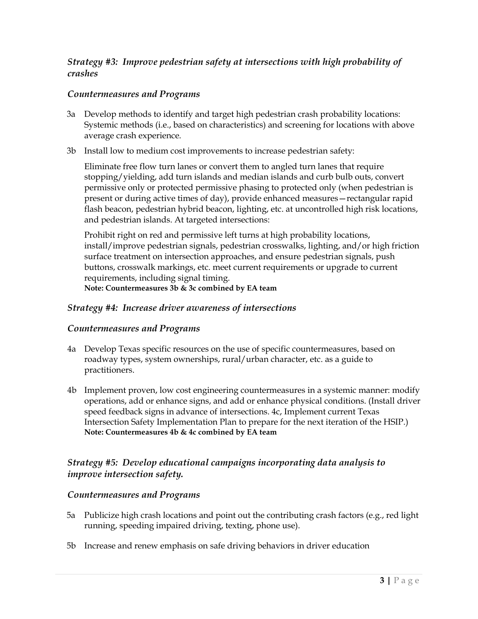#### Strategy #3: Improve pedestrian safety at intersections with high probability of crashes

#### Countermeasures and Programs

- 3a Develop methods to identify and target high pedestrian crash probability locations: Systemic methods (i.e., based on characteristics) and screening for locations with above average crash experience.
- 3b Install low to medium cost improvements to increase pedestrian safety:

Eliminate free flow turn lanes or convert them to angled turn lanes that require stopping/yielding, add turn islands and median islands and curb bulb outs, convert permissive only or protected permissive phasing to protected only (when pedestrian is present or during active times of day), provide enhanced measures—rectangular rapid flash beacon, pedestrian hybrid beacon, lighting, etc. at uncontrolled high risk locations, and pedestrian islands. At targeted intersections:

Prohibit right on red and permissive left turns at high probability locations, install/improve pedestrian signals, pedestrian crosswalks, lighting, and/or high friction surface treatment on intersection approaches, and ensure pedestrian signals, push buttons, crosswalk markings, etc. meet current requirements or upgrade to current requirements, including signal timing.

Note: Countermeasures 3b & 3c combined by EA team

#### Strategy #4: Increase driver awareness of intersections

#### Countermeasures and Programs

- 4a Develop Texas specific resources on the use of specific countermeasures, based on roadway types, system ownerships, rural/urban character, etc. as a guide to practitioners.
- 4b Implement proven, low cost engineering countermeasures in a systemic manner: modify operations, add or enhance signs, and add or enhance physical conditions. (Install driver speed feedback signs in advance of intersections. 4c, Implement current Texas Intersection Safety Implementation Plan to prepare for the next iteration of the HSIP.) Note: Countermeasures 4b & 4c combined by EA team

### Strategy #5: Develop educational campaigns incorporating data analysis to improve intersection safety.

#### Countermeasures and Programs

- 5a Publicize high crash locations and point out the contributing crash factors (e.g., red light running, speeding impaired driving, texting, phone use).
- 5b Increase and renew emphasis on safe driving behaviors in driver education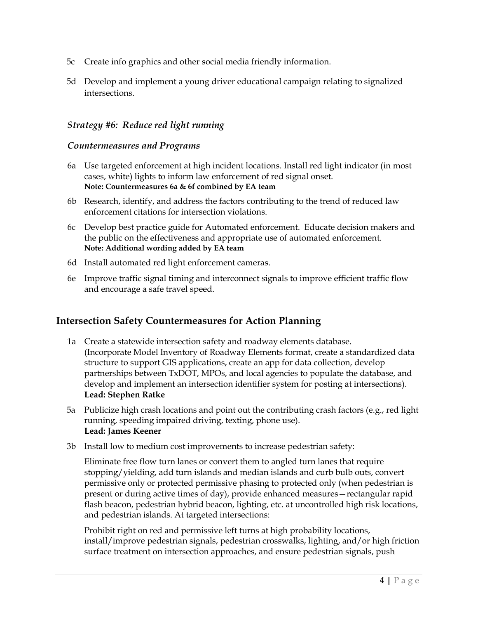- 5c Create info graphics and other social media friendly information.
- 5d Develop and implement a young driver educational campaign relating to signalized intersections.

#### Strategy #6: Reduce red light running

#### Countermeasures and Programs

- 6a Use targeted enforcement at high incident locations. Install red light indicator (in most cases, white) lights to inform law enforcement of red signal onset. Note: Countermeasures 6a & 6f combined by EA team
- 6b Research, identify, and address the factors contributing to the trend of reduced law enforcement citations for intersection violations.
- 6c Develop best practice guide for Automated enforcement. Educate decision makers and the public on the effectiveness and appropriate use of automated enforcement. Note: Additional wording added by EA team
- 6d Install automated red light enforcement cameras.
- 6e Improve traffic signal timing and interconnect signals to improve efficient traffic flow and encourage a safe travel speed.

# Intersection Safety Countermeasures for Action Planning

- 1a Create a statewide intersection safety and roadway elements database. (Incorporate Model Inventory of Roadway Elements format, create a standardized data structure to support GIS applications, create an app for data collection, develop partnerships between TxDOT, MPOs, and local agencies to populate the database, and develop and implement an intersection identifier system for posting at intersections). Lead: Stephen Ratke
- 5a Publicize high crash locations and point out the contributing crash factors (e.g., red light running, speeding impaired driving, texting, phone use). Lead: James Keener
- 3b Install low to medium cost improvements to increase pedestrian safety:

Eliminate free flow turn lanes or convert them to angled turn lanes that require stopping/yielding, add turn islands and median islands and curb bulb outs, convert permissive only or protected permissive phasing to protected only (when pedestrian is present or during active times of day), provide enhanced measures—rectangular rapid flash beacon, pedestrian hybrid beacon, lighting, etc. at uncontrolled high risk locations, and pedestrian islands. At targeted intersections:

Prohibit right on red and permissive left turns at high probability locations, install/improve pedestrian signals, pedestrian crosswalks, lighting, and/or high friction surface treatment on intersection approaches, and ensure pedestrian signals, push